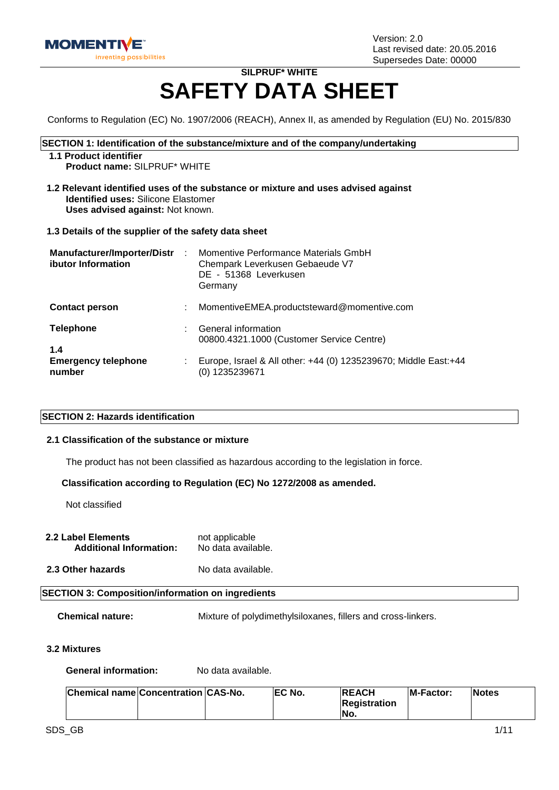

# **SILPRUF\* WHITE SAFETY DATA SHEET**

Conforms to Regulation (EC) No. 1907/2006 (REACH), Annex II, as amended by Regulation (EU) No. 2015/830

#### **SECTION 1: Identification of the substance/mixture and of the company/undertaking**

#### **1.1 Product identifier**

**Product name:** SILPRUF\* WHITE

**1.2 Relevant identified uses of the substance or mixture and uses advised against Identified uses:** Silicone Elastomer **Uses advised against:** Not known.

#### **1.3 Details of the supplier of the safety data sheet**

| <b>Manufacturer/Importer/Distr</b><br>ibutor Information | ÷  | Momentive Performance Materials GmbH<br>Chempark Leverkusen Gebaeude V7<br>DE - 51368 Leverkusen<br>Germany |
|----------------------------------------------------------|----|-------------------------------------------------------------------------------------------------------------|
| <b>Contact person</b>                                    | ÷  | MomentiveEMEA.productsteward@momentive.com                                                                  |
| <b>Telephone</b>                                         | ÷. | General information<br>00800.4321.1000 (Customer Service Centre)                                            |
| 1.4<br><b>Emergency telephone</b><br>number              | ÷  | Europe, Israel & All other: +44 (0) 1235239670; Middle East:+44<br>(0) 1235239671                           |

#### **SECTION 2: Hazards identification**

#### **2.1 Classification of the substance or mixture**

The product has not been classified as hazardous according to the legislation in force.

#### **Classification according to Regulation (EC) No 1272/2008 as amended.**

Not classified

- **2.2 Label Elements** not applicable<br>**Additional Information:** No data available. **Additional Information:**
- **2.3 Other hazards** No data available.

#### **SECTION 3: Composition/information on ingredients**

**Chemical nature:** Mixture of polydimethylsiloxanes, fillers and cross-linkers.

#### **3.2 Mixtures**

**General information:** No data available.

| Chemical name Concentration CAS-No. |  | <b>IEC No.</b> | <b>IREACH</b>       | <b>IM-Factor:</b> | <b>Notes</b> |
|-------------------------------------|--|----------------|---------------------|-------------------|--------------|
|                                     |  |                | <b>Registration</b> |                   |              |
|                                     |  |                | No.                 |                   |              |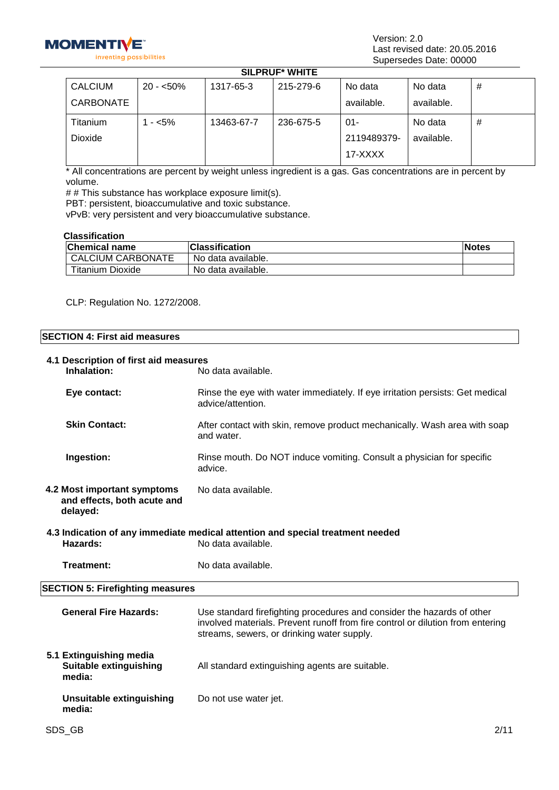

Version: 2.0 Last revised date: 20.05.2016 Supersedes Date: 00000

# **SILPRUF\* WHITE**

| <b>CALCIUM</b> | $20 - 50\%$ | 1317-65-3  | 215-279-6 | No data     | No data    | # |
|----------------|-------------|------------|-----------|-------------|------------|---|
| CARBONATE      |             |            |           | available.  | available. |   |
| Titanium       | - <5%       | 13463-67-7 | 236-675-5 | $01 -$      | No data    | # |
| Dioxide        |             |            |           | 2119489379- | available. |   |
|                |             |            |           | 17-XXXX     |            |   |

\* All concentrations are percent by weight unless ingredient is a gas. Gas concentrations are in percent by volume.

# # This substance has workplace exposure limit(s).

PBT: persistent, bioaccumulative and toxic substance.

vPvB: very persistent and very bioaccumulative substance.

#### **Classification**

| <b>Chemical name</b>     | <b>Classification</b> | lNotes |
|--------------------------|-----------------------|--------|
| <b>CALCIUM CARBONATE</b> | No data available.    |        |
| <b>Titanium Dioxide</b>  | No data available.    |        |

CLP: Regulation No. 1272/2008.

**4.1 Description of first aid measures**

## **SECTION 4: First aid measures**

| <b>Inhalation:</b>                                                     | No data available.                                                                                                                                                                                     |
|------------------------------------------------------------------------|--------------------------------------------------------------------------------------------------------------------------------------------------------------------------------------------------------|
| Eye contact:                                                           | Rinse the eye with water immediately. If eye irritation persists: Get medical<br>advice/attention.                                                                                                     |
| <b>Skin Contact:</b>                                                   | After contact with skin, remove product mechanically. Wash area with soap<br>and water.                                                                                                                |
| Ingestion:                                                             | Rinse mouth. Do NOT induce vomiting. Consult a physician for specific<br>advice.                                                                                                                       |
| 4.2 Most important symptoms<br>and effects, both acute and<br>delayed: | No data available.                                                                                                                                                                                     |
| Hazards:                                                               | 4.3 Indication of any immediate medical attention and special treatment needed<br>No data available.                                                                                                   |
| <b>Treatment:</b>                                                      | No data available.                                                                                                                                                                                     |
| <b>SECTION 5: Firefighting measures</b>                                |                                                                                                                                                                                                        |
| <b>General Fire Hazards:</b>                                           | Use standard firefighting procedures and consider the hazards of other<br>involved materials. Prevent runoff from fire control or dilution from entering<br>streams, sewers, or drinking water supply. |
| 5.1 Extinguishing media<br><b>Suitable extinguishing</b><br>media:     | All standard extinguishing agents are suitable.                                                                                                                                                        |
| <b>Unsuitable extinguishing</b><br>media:                              | Do not use water jet.                                                                                                                                                                                  |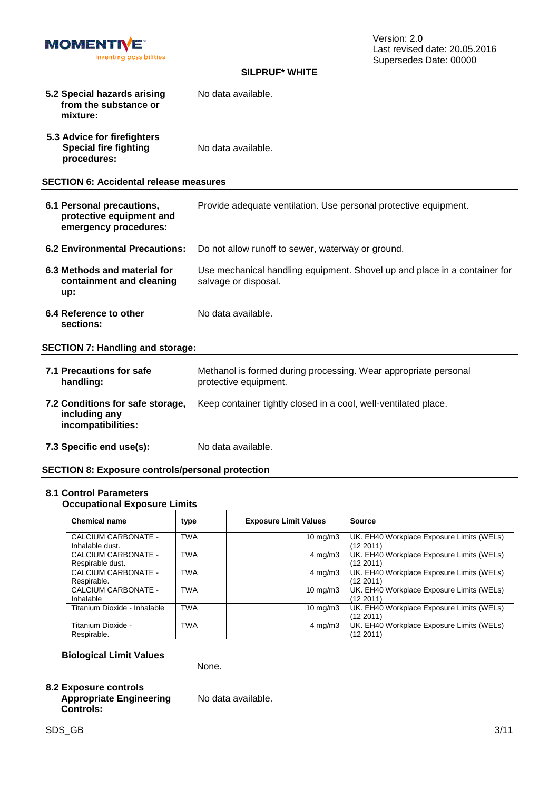

| <b>SILPRUF* WHITE</b>                                                          |                                                                                                   |  |  |  |
|--------------------------------------------------------------------------------|---------------------------------------------------------------------------------------------------|--|--|--|
| 5.2 Special hazards arising<br>from the substance or<br>mixture:               | No data available.                                                                                |  |  |  |
| 5.3 Advice for firefighters<br><b>Special fire fighting</b><br>procedures:     | No data available.                                                                                |  |  |  |
| <b>SECTION 6: Accidental release measures</b>                                  |                                                                                                   |  |  |  |
| 6.1 Personal precautions,<br>protective equipment and<br>emergency procedures: | Provide adequate ventilation. Use personal protective equipment.                                  |  |  |  |
| <b>6.2 Environmental Precautions:</b>                                          | Do not allow runoff to sewer, waterway or ground.                                                 |  |  |  |
| 6.3 Methods and material for<br>containment and cleaning<br>up:                | Use mechanical handling equipment. Shovel up and place in a container for<br>salvage or disposal. |  |  |  |
| 6.4 Reference to other<br>sections:                                            | No data available.                                                                                |  |  |  |
| <b>SECTION 7: Handling and storage:</b>                                        |                                                                                                   |  |  |  |
| 7.1 Precautions for safe<br>handling:                                          | Methanol is formed during processing. Wear appropriate personal<br>protective equipment.          |  |  |  |
| 7.2 Conditions for safe storage,<br>including any<br>incompatibilities:        | Keep container tightly closed in a cool, well-ventilated place.                                   |  |  |  |
|                                                                                |                                                                                                   |  |  |  |

**7.3 Specific end use(s):** No data available.

## **SECTION 8: Exposure controls/personal protection**

## **8.1 Control Parameters**

| <b>Occupational Exposure Limits</b>     |            |                              |                                                        |  |  |
|-----------------------------------------|------------|------------------------------|--------------------------------------------------------|--|--|
| <b>Chemical name</b>                    | type       | <b>Exposure Limit Values</b> | <b>Source</b>                                          |  |  |
| CALCIUM CARBONATE -<br>Inhalable dust.  | <b>TWA</b> | 10 mg/m $3$                  | UK. EH40 Workplace Exposure Limits (WELs)<br>(12 2011) |  |  |
| CALCIUM CARBONATE -<br>Respirable dust. | <b>TWA</b> | $4 \text{ mg/m}$             | UK. EH40 Workplace Exposure Limits (WELs)<br>(12 2011) |  |  |
| CALCIUM CARBONATE -<br>Respirable.      | <b>TWA</b> | $4 \text{ mg/m}$ 3           | UK. EH40 Workplace Exposure Limits (WELs)<br>(12 2011) |  |  |
| CALCIUM CARBONATE -<br>Inhalable        | <b>TWA</b> | $10 \text{ mg/m}$            | UK. EH40 Workplace Exposure Limits (WELs)<br>(12 2011) |  |  |
| Titanium Dioxide - Inhalable            | <b>TWA</b> | $10 \text{ mg/m}$            | UK. EH40 Workplace Exposure Limits (WELs)<br>(12 2011) |  |  |
| Titanium Dioxide -<br>Respirable.       | <b>TWA</b> | $4 \text{ mg/m}$ 3           | UK. EH40 Workplace Exposure Limits (WELs)<br>(12 2011) |  |  |

## **Biological Limit Values**

None.

## **8.2 Exposure controls**

## **Appropriate Engineering Controls:**

No data available.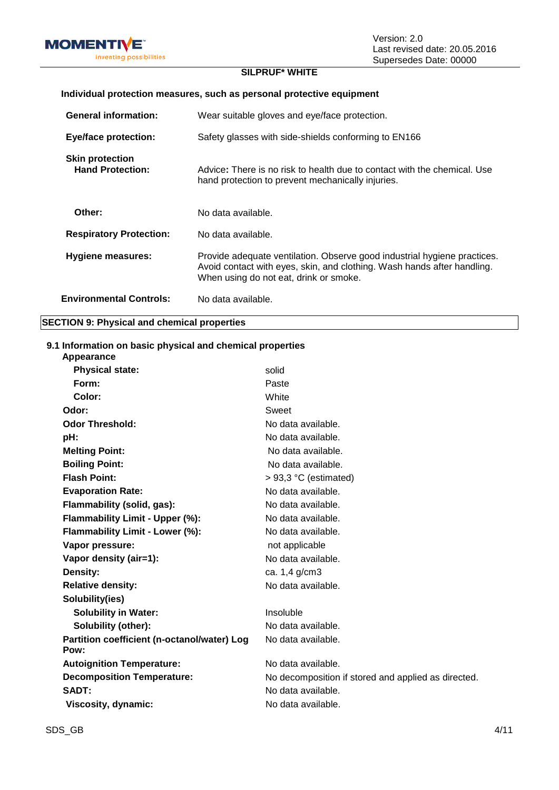

Version: 2.0 Last revised date: 20.05.2016 Supersedes Date: 00000

## **SILPRUF\* WHITE**

| JILFNUI WIIIL                                                         |                                                                                                                                                                                               |  |  |
|-----------------------------------------------------------------------|-----------------------------------------------------------------------------------------------------------------------------------------------------------------------------------------------|--|--|
| Individual protection measures, such as personal protective equipment |                                                                                                                                                                                               |  |  |
| <b>General information:</b>                                           | Wear suitable gloves and eye/face protection.                                                                                                                                                 |  |  |
| <b>Eye/face protection:</b>                                           | Safety glasses with side-shields conforming to EN166                                                                                                                                          |  |  |
| <b>Skin protection</b><br><b>Hand Protection:</b>                     | Advice: There is no risk to health due to contact with the chemical. Use<br>hand protection to prevent mechanically injuries.                                                                 |  |  |
| Other:                                                                | No data available.                                                                                                                                                                            |  |  |
| <b>Respiratory Protection:</b>                                        | No data available.                                                                                                                                                                            |  |  |
| Hygiene measures:                                                     | Provide adequate ventilation. Observe good industrial hygiene practices.<br>Avoid contact with eyes, skin, and clothing. Wash hands after handling.<br>When using do not eat, drink or smoke. |  |  |
| <b>Environmental Controls:</b>                                        | No data available.                                                                                                                                                                            |  |  |

#### **SECTION 9: Physical and chemical properties**

#### **9.1 Information on basic physical and chemical properties**

| Appearance                                          |                                                     |
|-----------------------------------------------------|-----------------------------------------------------|
| <b>Physical state:</b>                              | solid                                               |
| Form:                                               | Paste                                               |
| Color:                                              | White                                               |
| Odor:                                               | Sweet                                               |
| <b>Odor Threshold:</b>                              | No data available.                                  |
| pH:                                                 | No data available.                                  |
| <b>Melting Point:</b>                               | No data available.                                  |
| <b>Boiling Point:</b>                               | No data available.                                  |
| <b>Flash Point:</b>                                 | $> 93.3$ °C (estimated)                             |
| <b>Evaporation Rate:</b>                            | No data available.                                  |
| Flammability (solid, gas):                          | No data available.                                  |
| Flammability Limit - Upper (%):                     | No data available.                                  |
| Flammability Limit - Lower (%):                     | No data available.                                  |
| Vapor pressure:                                     | not applicable                                      |
| Vapor density (air=1):                              | No data available.                                  |
| Density:                                            | ca. 1,4 g/cm3                                       |
| <b>Relative density:</b>                            | No data available.                                  |
| Solubility(ies)                                     |                                                     |
| <b>Solubility in Water:</b>                         | Insoluble                                           |
| Solubility (other):                                 | No data available.                                  |
| Partition coefficient (n-octanol/water) Log<br>Pow: | No data available.                                  |
| <b>Autoignition Temperature:</b>                    | No data available.                                  |
| <b>Decomposition Temperature:</b>                   | No decomposition if stored and applied as directed. |
| SADT:                                               | No data available.                                  |
| Viscosity, dynamic:                                 | No data available.                                  |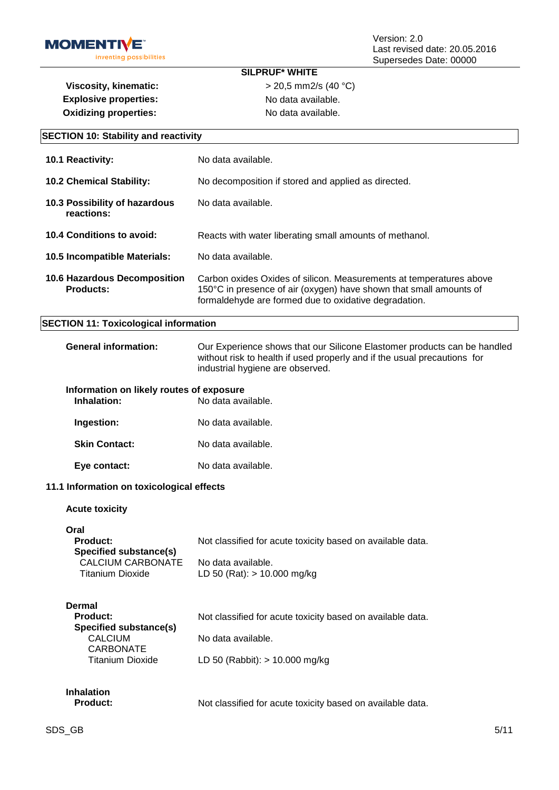

**Explosive properties:** No data available. **Oxidizing properties:** No data available.

**SILPRUF\* WHITE Viscosity, kinematic:**  $> 20,5$  mm2/s (40 °C)

| <b>SECTION 10: Stability and reactivity</b>                |                                                                                                                                                                                                    |  |  |
|------------------------------------------------------------|----------------------------------------------------------------------------------------------------------------------------------------------------------------------------------------------------|--|--|
| 10.1 Reactivity:                                           | No data available.                                                                                                                                                                                 |  |  |
| 10.2 Chemical Stability:                                   | No decomposition if stored and applied as directed.                                                                                                                                                |  |  |
| 10.3 Possibility of hazardous<br>reactions:                | No data available.                                                                                                                                                                                 |  |  |
| 10.4 Conditions to avoid:                                  | Reacts with water liberating small amounts of methanol.                                                                                                                                            |  |  |
| 10.5 Incompatible Materials:                               | No data available.                                                                                                                                                                                 |  |  |
| 10.6 Hazardous Decomposition<br><b>Products:</b>           | Carbon oxides Oxides of silicon. Measurements at temperatures above<br>150°C in presence of air (oxygen) have shown that small amounts of<br>formaldehyde are formed due to oxidative degradation. |  |  |
| <b>SECTION 11: Toxicological information</b>               |                                                                                                                                                                                                    |  |  |
| <b>General information:</b>                                | Our Experience shows that our Silicone Elastomer products can be handled<br>without risk to health if used properly and if the usual precautions for<br>industrial hygiene are observed.           |  |  |
| Information on likely routes of exposure<br>Inhalation:    | No data available.                                                                                                                                                                                 |  |  |
| Ingestion:                                                 | No data available.                                                                                                                                                                                 |  |  |
| <b>Skin Contact:</b>                                       | No data available.                                                                                                                                                                                 |  |  |
| Eye contact:                                               | No data available.                                                                                                                                                                                 |  |  |
| 11.1 Information on toxicological effects                  |                                                                                                                                                                                                    |  |  |
| <b>Acute toxicity</b>                                      |                                                                                                                                                                                                    |  |  |
| Oral<br><b>Product:</b><br><b>Specified substance(s)</b>   | Not classified for acute toxicity based on available data.                                                                                                                                         |  |  |
| <b>CALCIUM CARBONATE</b><br><b>Titanium Dioxide</b>        | No data available.<br>LD 50 (Rat): > 10.000 mg/kg                                                                                                                                                  |  |  |
| <b>Dermal</b><br><b>Product:</b><br>Specified substance(s) | Not classified for acute toxicity based on available data.                                                                                                                                         |  |  |
| <b>CALCIUM</b><br><b>CARBONATE</b>                         | No data available.                                                                                                                                                                                 |  |  |
| <b>Titanium Dioxide</b>                                    | LD 50 (Rabbit): $> 10.000$ mg/kg                                                                                                                                                                   |  |  |
| <b>Inhalation</b><br><b>Product:</b>                       | Not classified for acute toxicity based on available data.                                                                                                                                         |  |  |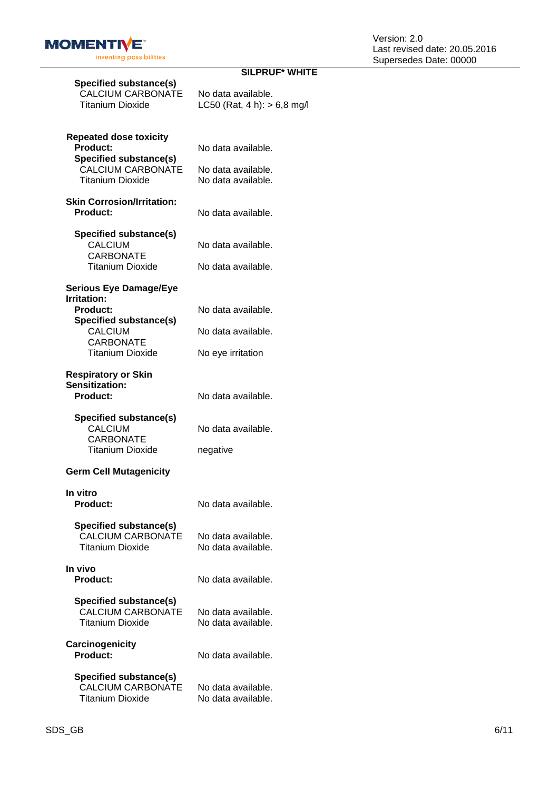

## **SILPRUF\* WHITE**

| Specified substance(s)<br><b>CALCIUM CARBONATE</b><br><b>Titanium Dioxide</b>           | No data available.<br>LC50 (Rat, 4 h): $> 6.8$ mg/ |
|-----------------------------------------------------------------------------------------|----------------------------------------------------|
| <b>Repeated dose toxicity</b><br><b>Product:</b><br><b>Specified substance(s)</b>       | No data available.                                 |
| <b>CALCIUM CARBONATE</b><br><b>Titanium Dioxide</b>                                     | No data available.<br>No data available.           |
| <b>Skin Corrosion/Irritation:</b><br><b>Product:</b>                                    | No data available.                                 |
| <b>Specified substance(s)</b><br><b>CALCIUM</b><br><b>CARBONATE</b>                     | No data available.                                 |
| <b>Titanium Dioxide</b>                                                                 | No data available.                                 |
| <b>Serious Eye Damage/Eye</b>                                                           |                                                    |
| <b>Irritation:</b><br><b>Product:</b>                                                   | No data available.                                 |
| <b>Specified substance(s)</b><br><b>CALCIUM</b>                                         | No data available.                                 |
| <b>CARBONATE</b><br><b>Titanium Dioxide</b>                                             | No eye irritation                                  |
| <b>Respiratory or Skin</b><br>Sensitization:<br><b>Product:</b>                         | No data available.                                 |
| Specified substance(s)<br><b>CALCIUM</b><br><b>CARBONATE</b><br><b>Titanium Dioxide</b> | No data available.<br>negative                     |
| <b>Germ Cell Mutagenicity</b>                                                           |                                                    |
| In vitro                                                                                |                                                    |
| Product:                                                                                | No data available.                                 |
| <b>Specified substance(s)</b><br><b>CALCIUM CARBONATE</b><br><b>Titanium Dioxide</b>    | No data available.<br>No data available.           |
| In vivo<br><b>Product:</b>                                                              | No data available.                                 |
| <b>Specified substance(s)</b><br><b>CALCIUM CARBONATE</b><br><b>Titanium Dioxide</b>    | No data available.<br>No data available.           |
| <b>Carcinogenicity</b><br><b>Product:</b>                                               | No data available.                                 |
| Specified substance(s)<br><b>CALCIUM CARBONATE</b><br><b>Titanium Dioxide</b>           | No data available.<br>No data available.           |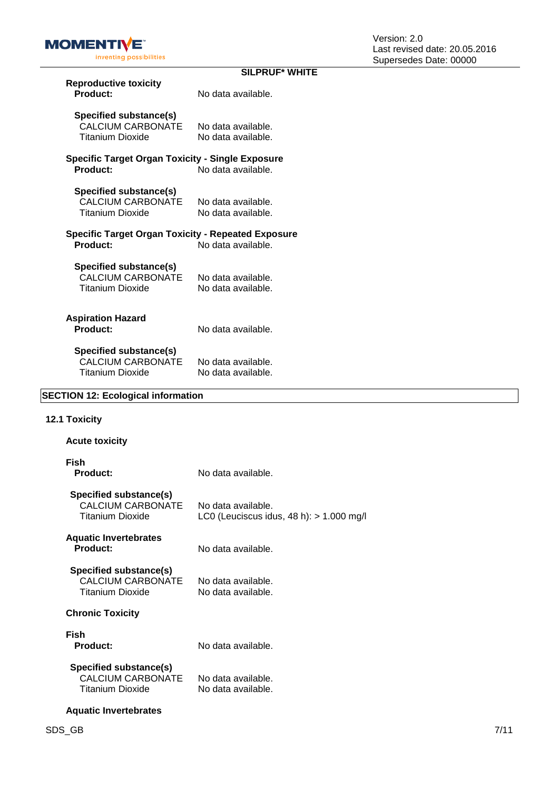

|                                                                               | <b>SILPRUF* WHITE</b>                    |
|-------------------------------------------------------------------------------|------------------------------------------|
| <b>Reproductive toxicity</b><br>Product:                                      | No data available.                       |
| Specified substance(s)<br><b>CALCIUM CARBONATE</b><br><b>Titanium Dioxide</b> | No data available.<br>No data available. |
| Specific Target Organ Toxicity - Single Exposure<br>Product:                  | No data available.                       |
| Specified substance(s)<br><b>CALCIUM CARBONATE</b><br>Titanium Dioxide        | No data available.<br>No data available. |
| <b>Specific Target Organ Toxicity - Repeated Exposure</b><br>Product:         | No data available.                       |
| Specified substance(s)<br><b>CALCIUM CARBONATE</b><br><b>Titanium Dioxide</b> | No data available.<br>No data available. |
| <b>Aspiration Hazard</b><br>Product:                                          | No data available.                       |
| Specified substance(s)<br><b>CALCIUM CARBONATE</b><br><b>Titanium Dioxide</b> | No data available.<br>No data available. |

## **SECTION 12: Ecological information**

## **12.1 Toxicity**

| <b>Acute toxicity</b>                                                  |                                                                  |
|------------------------------------------------------------------------|------------------------------------------------------------------|
| Fish<br>Product:                                                       | No data available.                                               |
| Specified substance(s)<br>CALCIUM CARBONATE<br><b>Titanium Dioxide</b> | No data available.<br>LC0 (Leuciscus idus, 48 h): $> 1.000$ mg/l |
| <b>Aquatic Invertebrates</b><br>Product:                               | No data available.                                               |
| Specified substance(s)<br>CALCIUM CARBONATE<br>Titanium Dioxide        | No data available.<br>No data available.                         |

## **Chronic Toxicity**

| Fish<br><b>Product:</b> | No data available. |
|-------------------------|--------------------|
| Specified substance(s)  |                    |

| CALCIUM CARBONATE       | No data available. |
|-------------------------|--------------------|
| <b>Titanium Dioxide</b> | No data available. |

#### **Aquatic Invertebrates**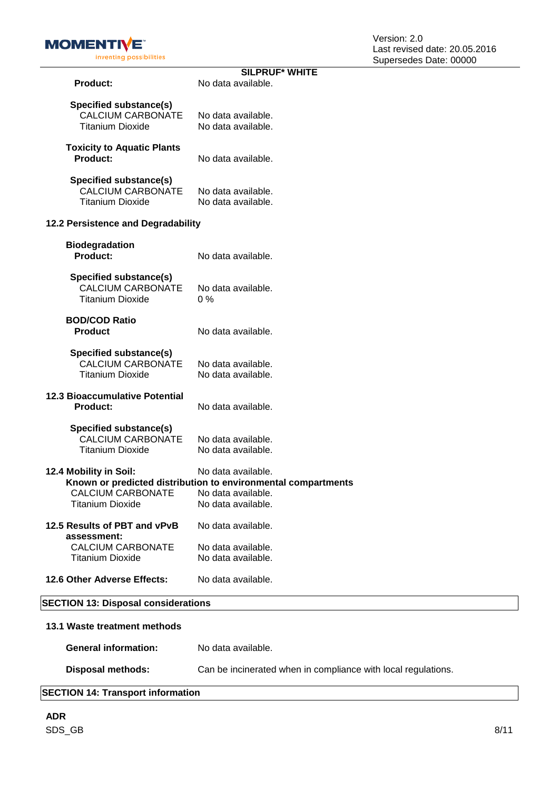

|                                                                               | <b>SILPRUF* WHITE</b>                                                                                                           |
|-------------------------------------------------------------------------------|---------------------------------------------------------------------------------------------------------------------------------|
| <b>Product:</b>                                                               | No data available.                                                                                                              |
| Specified substance(s)<br><b>CALCIUM CARBONATE</b><br><b>Titanium Dioxide</b> | No data available.<br>No data available.                                                                                        |
| <b>Toxicity to Aquatic Plants</b><br>Product:                                 | No data available.                                                                                                              |
| <b>Specified substance(s)</b><br>CALCIUM CARBONATE<br><b>Titanium Dioxide</b> | No data available.<br>No data available.                                                                                        |
| 12.2 Persistence and Degradability                                            |                                                                                                                                 |
| <b>Biodegradation</b><br><b>Product:</b>                                      | No data available.                                                                                                              |
| Specified substance(s)<br><b>CALCIUM CARBONATE</b><br><b>Titanium Dioxide</b> | No data available.<br>$0\%$                                                                                                     |
| <b>BOD/COD Ratio</b><br><b>Product</b>                                        | No data available.                                                                                                              |
| Specified substance(s)<br><b>CALCIUM CARBONATE</b><br><b>Titanium Dioxide</b> | No data available.<br>No data available.                                                                                        |
| <b>12.3 Bioaccumulative Potential</b><br><b>Product:</b>                      | No data available.                                                                                                              |
| Specified substance(s)<br>CALCIUM CARBONATE<br><b>Titanium Dioxide</b>        | No data available.<br>No data available.                                                                                        |
| 12.4 Mobility in Soil:<br><b>CALCIUM CARBONATE</b><br><b>Titanium Dioxide</b> | No data available.<br>Known or predicted distribution to environmental compartments<br>No data available.<br>No data available. |
| 12.5 Results of PBT and vPvB<br>assessment:                                   | No data available.                                                                                                              |
| <b>CALCIUM CARBONATE</b><br><b>Titanium Dioxide</b>                           | No data available.<br>No data available.                                                                                        |
| 12.6 Other Adverse Effects:                                                   | No data available.                                                                                                              |
|                                                                               |                                                                                                                                 |

# **SECTION 13: Disposal considerations**

| 13.1 Waste treatment methods |                                                               |
|------------------------------|---------------------------------------------------------------|
| <b>General information:</b>  | No data available.                                            |
| Disposal methods:            | Can be incinerated when in compliance with local regulations. |

## **SECTION 14: Transport information**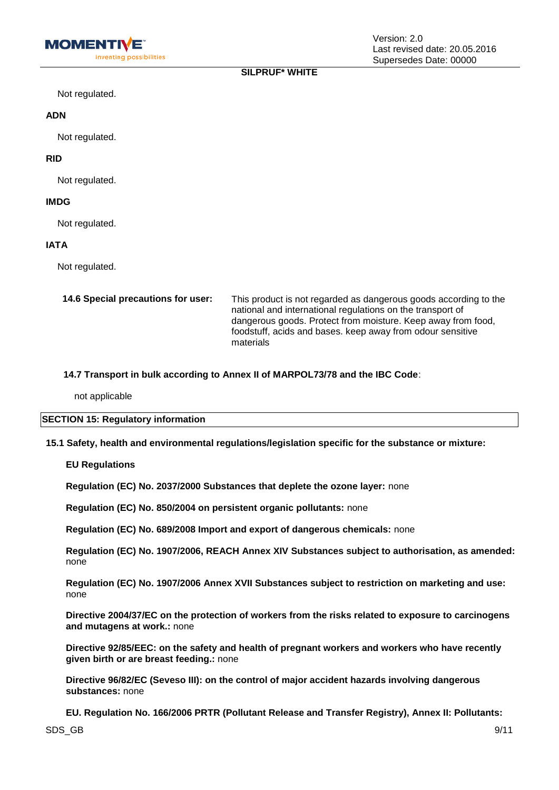## **SILPRUF\* WHITE**

Not regulated.

#### **ADN**

Not regulated.

## **RID**

Not regulated.

## **IMDG**

Not regulated.

## **IATA**

Not regulated.

| 14.6 Special precautions for user: | This product is not regarded as dangerous goods according to the<br>national and international regulations on the transport of<br>dangerous goods. Protect from moisture. Keep away from food,<br>foodstuff, acids and bases. keep away from odour sensitive<br>materials |
|------------------------------------|---------------------------------------------------------------------------------------------------------------------------------------------------------------------------------------------------------------------------------------------------------------------------|
|                                    |                                                                                                                                                                                                                                                                           |

## **14.7 Transport in bulk according to Annex II of MARPOL73/78 and the IBC Code**:

not applicable

#### **SECTION 15: Regulatory information**

**15.1 Safety, health and environmental regulations/legislation specific for the substance or mixture:**

#### **EU Regulations**

**Regulation (EC) No. 2037/2000 Substances that deplete the ozone layer:** none

**Regulation (EC) No. 850/2004 on persistent organic pollutants:** none

**Regulation (EC) No. 689/2008 Import and export of dangerous chemicals:** none

**Regulation (EC) No. 1907/2006, REACH Annex XIV Substances subject to authorisation, as amended:**  none

**Regulation (EC) No. 1907/2006 Annex XVII Substances subject to restriction on marketing and use:**  none

**Directive 2004/37/EC on the protection of workers from the risks related to exposure to carcinogens and mutagens at work.:** none

**Directive 92/85/EEC: on the safety and health of pregnant workers and workers who have recently given birth or are breast feeding.:** none

**Directive 96/82/EC (Seveso III): on the control of major accident hazards involving dangerous substances:** none

**EU. Regulation No. 166/2006 PRTR (Pollutant Release and Transfer Registry), Annex II: Pollutants:**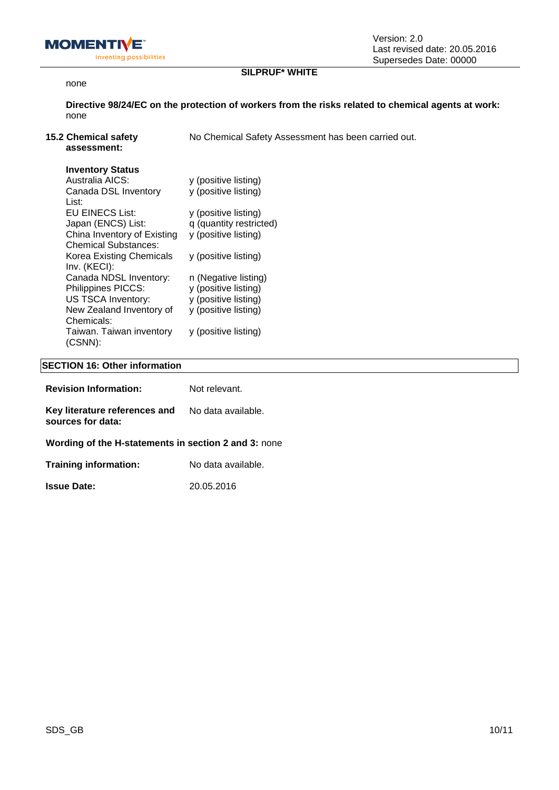

## **SILPRUF\* WHITE**

#### none

**Directive 98/24/EC on the protection of workers from the risks related to chemical agents at work:**  none

| <b>15.2 Chemical safety</b><br>assessment:                 | No Chemical Safety Assessment has been carried out. |
|------------------------------------------------------------|-----------------------------------------------------|
| <b>Inventory Status</b>                                    |                                                     |
| Australia AICS:                                            | y (positive listing)                                |
| Canada DSL Inventory<br>List:                              | y (positive listing)                                |
| EU EINECS List:                                            | y (positive listing)                                |
| Japan (ENCS) List:                                         | q (quantity restricted)                             |
| China Inventory of Existing<br><b>Chemical Substances:</b> | y (positive listing)                                |
| Korea Existing Chemicals<br>Inv. (KECI):                   | y (positive listing)                                |
| Canada NDSL Inventory:                                     | n (Negative listing)                                |

| 111V. 111EVI.            |                      |
|--------------------------|----------------------|
| Canada NDSL Inventory:   | n (Negative listing  |
| Philippines PICCS:       | y (positive listing) |
| US TSCA Inventory:       | y (positive listing) |
| New Zealand Inventory of | y (positive listing) |
| Chemicals:               |                      |
| Taiwan. Taiwan inventory | y (positive listing) |
| $(CSNN)$ :               |                      |
|                          |                      |

## **SECTION 16: Other information**

| Key literature references and<br>No data available.<br>sources for data:<br><b>Training information:</b><br>No data available. | <b>Revision Information:</b>                         | Not relevant. |
|--------------------------------------------------------------------------------------------------------------------------------|------------------------------------------------------|---------------|
|                                                                                                                                |                                                      |               |
|                                                                                                                                | Wording of the H-statements in section 2 and 3: none |               |
|                                                                                                                                |                                                      |               |

**Issue Date:** 20.05.2016